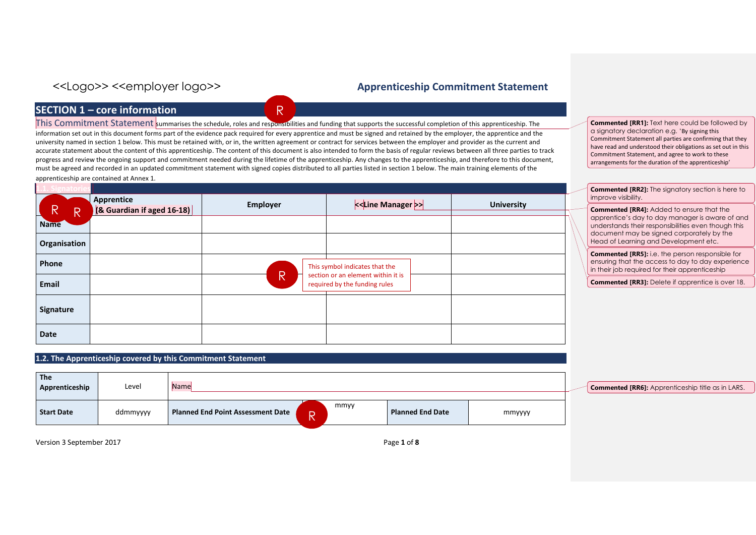## **SECTION 1 – core information**

This Commitment Statement summarises the schedule, roles and responsibilities and funding that supports the successful completion of this apprenticeship. The information set out in this document forms part of the evidence pack required for every apprentice and must be signed and retained by the employer, the apprentice and the university named in section 1 below. This must be retained with, or in, the written agreement or contract for services between the employer and provider as the current and accurate statement about the content of this apprenticeship. The content of this document is also intended to form the basis of regular reviews between all three parties to track progress and review the ongoing support and commitment needed during the lifetime of the apprenticeship. Any changes to the apprenticeship, and therefore to this document, must be agreed and recorded in an updated commitment statement with signed copies distributed to all parties listed in section 1 below. The main training elements of the apprenticeship are contained at Annex 1.

R

| R<br>∸       | Apprentice<br>$(8$ Guardian if aged 16-18) | <b>Employer</b> |                                                                     | <b>University</b> |
|--------------|--------------------------------------------|-----------------|---------------------------------------------------------------------|-------------------|
| <b>Name</b>  |                                            |                 |                                                                     |                   |
| Organisation |                                            |                 |                                                                     |                   |
| Phone        |                                            |                 | This symbol indicates that the                                      |                   |
| Email        |                                            | R               | section or an element within it is<br>required by the funding rules |                   |
| Signature    |                                            |                 |                                                                     |                   |
| <b>Date</b>  |                                            |                 |                                                                     |                   |

### **1.2. The Apprenticeship covered by this Commitment Statement**

| <b>The</b><br>Apprenticeship | Level    | Name                                     |         |      |                         |        |  |
|------------------------------|----------|------------------------------------------|---------|------|-------------------------|--------|--|
| <b>Start Date</b>            | ddmmyyyy | <b>Planned End Point Assessment Date</b> | D<br>18 | mmyy | <b>Planned End Date</b> | mmyyyy |  |

Version 3 September 2017 **Page 1** of **8** 

**Commented [RR1]:** Text here could be followed by a signatory declaration e.g. 'By signing this Commitment Statement all parties are confirming that they have read and understood their obligations as set out in this Commitment Statement, and agree to work to these arrangements for the duration of the apprenticeship'

**Commented [RR2]:** The signatory section is here to improve visibility.

**Commented [RR4]:** Added to ensure that the apprentice's day to day manager is aware of and understands their responsibilities even though this document may be signed corporately by the Head of Learning and Development etc.

**Commented [RR5]:** i.e. the person responsible for ensuring that the access to day to day experience in their job required for their apprenticeship

**Commented [RR3]:** Delete if apprentice is over 18.

**Commented [RR6]:** Apprenticeship title as in LARS.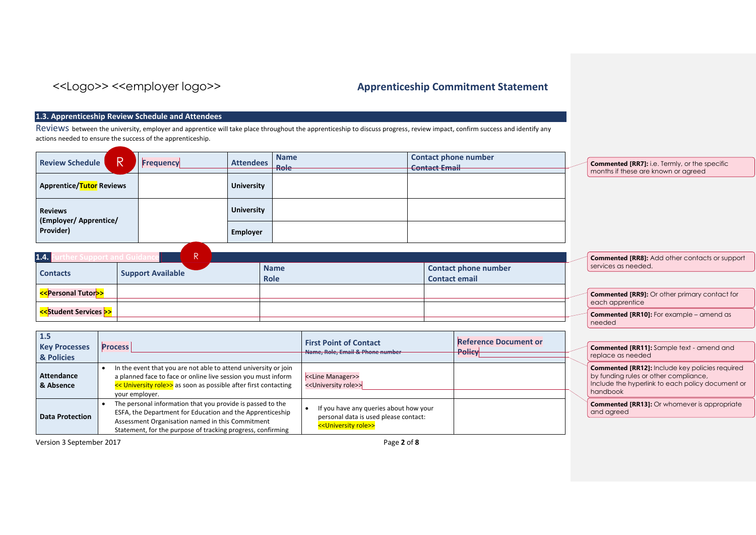**Commented [RR11]:** Sample text - amend and

by funding rules or other compliance,

**Commented [RR12]:** Include key policies required

Include the hyperlink to each policy document or

**Commented [RR13]:** Or whomever is appropriate

replace as needed

handbook

and agreed

### **1.3. Apprenticeship Review Schedule and Attendees**

Reviews between the university, employer and apprentice will take place throughout the apprenticeship to discuss progress, review impact, confirm success and identify any actions needed to ensure the success of the apprenticeship.

| <b>Review Schedule</b>                       |  | <b>Frequency</b> | <b>Attendees</b>  | <b>Name</b><br>Role | <b>Contact phone number</b><br><b>Contact Email</b> | <b>Commented [RR7]: i.e. Termly, or the specific</b><br>months if these are known or agreed |
|----------------------------------------------|--|------------------|-------------------|---------------------|-----------------------------------------------------|---------------------------------------------------------------------------------------------|
| <b>Apprentice/<mark>Tutor</mark> Reviews</b> |  |                  | <b>University</b> |                     |                                                     |                                                                                             |
| <b>Reviews</b>                               |  |                  | <b>University</b> |                     |                                                     |                                                                                             |
| (Employer/Apprentice/<br>Provider)           |  |                  | Employer          |                     |                                                     |                                                                                             |

| 1.4.                                                                                                                                            | D<br>n                   |             |                             | <b>Commented [RR8]:</b> Add other contacts or support              |
|-------------------------------------------------------------------------------------------------------------------------------------------------|--------------------------|-------------|-----------------------------|--------------------------------------------------------------------|
| <b>Contacts</b>                                                                                                                                 | <b>Support Available</b> | <b>Name</b> | <b>Contact phone number</b> | services as needed.                                                |
|                                                                                                                                                 |                          | <b>Role</b> | <b>Contact email</b>        |                                                                    |
| < <personal tutor="">&gt;</personal>                                                                                                            |                          |             |                             | <b>Commented [RR9]:</b> Or other primary contact for               |
| < <student services<="" td=""><td></td><td></td><td></td><td>each apprentice<br/><b>Commented [RR10]:</b> For example – amend as</td></student> |                          |             |                             | each apprentice<br><b>Commented [RR10]:</b> For example – amend as |
|                                                                                                                                                 |                          |             |                             | needed                                                             |

| 1.5<br><b>Key Processes</b><br>& Policies | <b>Process</b>                                                                                                                                                                                                                             | <b>First Point of Contact</b><br>Name, Role, Email & Phone number                                                          | <b>Reference Document or</b><br><b>Policy</b> |  |
|-------------------------------------------|--------------------------------------------------------------------------------------------------------------------------------------------------------------------------------------------------------------------------------------------|----------------------------------------------------------------------------------------------------------------------------|-----------------------------------------------|--|
| <b>Attendance</b><br>& Absence            | In the event that you are not able to attend university or join<br>a planned face to face or online live session you must inform<br><< University role>> as soon as possible after first contacting<br>your employer.                      | < <line manager="">&gt;<br/>&lt;<university role="">&gt;</university></line>                                               |                                               |  |
| <b>Data Protection</b>                    | The personal information that you provide is passed to the<br>ESFA, the Department for Education and the Apprenticeship<br>Assessment Organisation named in this Commitment<br>Statement, for the purpose of tracking progress, confirming | If you have any queries about how your<br>personal data is used please contact:<br>< <university role="">&gt;</university> |                                               |  |

Version 3 September 2017 Page **2** of **8**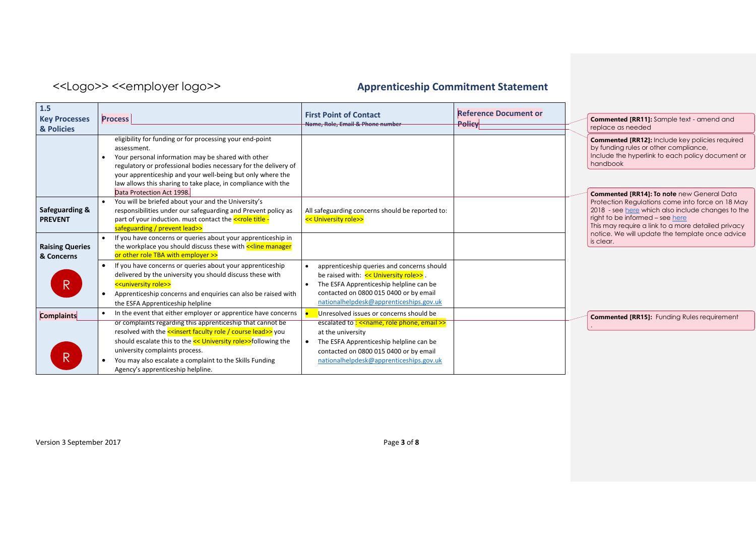| 1.5<br><b>Key Processes</b><br>& Policies | <b>Process</b>                                                                                                                                                                                                                                                                                                                                                                                                                | <b>First Point of Contact</b><br>Name, Role, Email & Phone number                                                                                                                                                                             | <b>Reference Document or</b><br><b>Policy</b> | <b>Commented [RR11]:</b> Sample text - amend and<br>replace as needed                                                                                                                                                |
|-------------------------------------------|-------------------------------------------------------------------------------------------------------------------------------------------------------------------------------------------------------------------------------------------------------------------------------------------------------------------------------------------------------------------------------------------------------------------------------|-----------------------------------------------------------------------------------------------------------------------------------------------------------------------------------------------------------------------------------------------|-----------------------------------------------|----------------------------------------------------------------------------------------------------------------------------------------------------------------------------------------------------------------------|
|                                           | eligibility for funding or for processing your end-point<br>assessment.<br>Your personal information may be shared with other<br>regulatory or professional bodies necessary for the delivery of<br>your apprenticeship and your well-being but only where the<br>law allows this sharing to take place, in compliance with the<br>Data Protection Act 1998.                                                                  |                                                                                                                                                                                                                                               |                                               | <b>Commented [RR12]:</b> Include key policies required<br>by funding rules or other compliance,<br>Include the hyperlink to each policy document or<br>handbook<br><b>Commented [RR14]: To note</b> new General Data |
| Safeguarding &<br><b>PREVENT</b>          | You will be briefed about your and the University's<br>responsibilities under our safeguarding and Prevent policy as<br>part of your induction. must contact the <b>&lt;<role -<="" b="" title=""><br/>safeguarding / prevent lead&gt;&gt;</role></b>                                                                                                                                                                         | All safeguarding concerns should be reported to:<br><< University role>>                                                                                                                                                                      |                                               | Protection Regulations come into force on 18 May<br>2018 - see here which also include changes to the<br>right to be informed - see here<br>This may require a link to a more detailed privacy                       |
| <b>Raising Queries</b><br>& Concerns      | If you have concerns or queries about your apprenticeship in<br>the workplace you should discuss these with << line manager<br>or other role TBA with employer >>                                                                                                                                                                                                                                                             |                                                                                                                                                                                                                                               |                                               | notice. We will update the template once advice<br>is clear.                                                                                                                                                         |
| R                                         | If you have concerns or queries about your apprenticeship<br>delivered by the university you should discuss these with<br>< <university role="">&gt;<br/>Apprenticeship concerns and enquiries can also be raised with<br/>the ESFA Apprenticeship helpline</university>                                                                                                                                                      | apprenticeship queries and concerns should<br>$\bullet$<br>be raised with: << University role>>.<br>The ESFA Apprenticeship helpline can be<br>$\bullet$<br>contacted on 0800 015 0400 or by email<br>nationalhelpdesk@apprenticeships.gov.uk |                                               |                                                                                                                                                                                                                      |
| <b>Complaints</b><br>R                    | In the event that either employer or apprentice have concerns<br>or complaints regarding this apprenticeship that cannot be<br>resolved with the <u>&lt;<insert course="" faculty="" lead="" role="">&gt;</insert></u> you<br>should escalate this to the << University role>>following the<br>university complaints process.<br>You may also escalate a complaint to the Skills Funding<br>Agency's apprenticeship helpline. | Unresolved issues or concerns should be<br>escalated to: << name, role phone, email >><br>at the university<br>The ESFA Apprenticeship helpline can be<br>contacted on 0800 015 0400 or by email<br>nationalhelpdesk@apprenticeships.gov.uk   |                                               | <b>Commented [RR15]:</b> Funding Rules requirement                                                                                                                                                                   |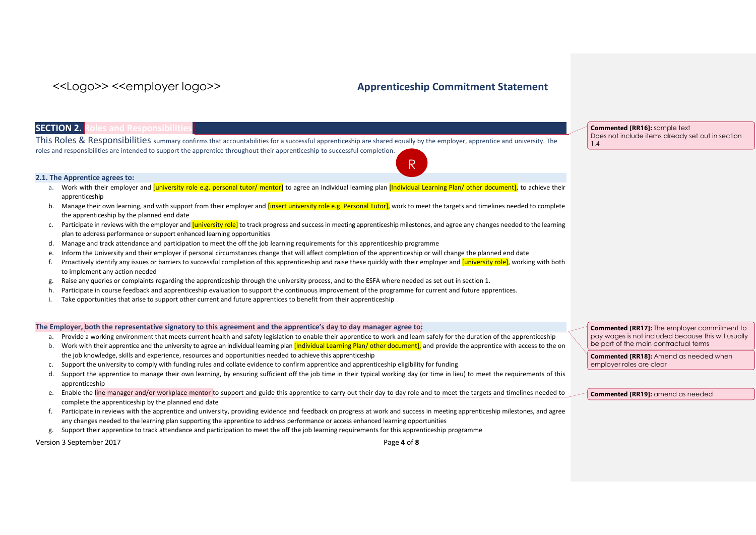R

### **SECTION 2. Roles and Responsibilities**

This Roles & Responsibilities summary confirms that accountabilities for a successful apprenticeship are shared equally by the employer, apprentice and university. The roles and responsibilities are intended to support the apprentice throughout their apprenticeship to successful completion.

### **2.1. The Apprentice agrees to:**

- a. Work with their employer and *[university role e.g. personal tutor/ mentor]* to agree an individual learning plan *[Individual Learning Plan/ other document]*, to achieve their apprenticeship
- b. Manage their own learning, and with support from their employer and linsert university role e.g. Personal Tutorl, work to meet the targets and timelines needed to complete the apprenticeship by the planned end date
- c. Participate in reviews with the employer and *[university role]* to track progress and success in meeting apprenticeship milestones, and agree any changes needed to the learning plan to address performance or support enhanced learning opportunities
- d. Manage and track attendance and participation to meet the off the job learning requirements for this apprenticeship programme
- e. Inform the University and their employer if personal circumstances change that will affect completion of the apprenticeship or will change the planned end date
- f. Proactively identify any issues or barriers to successful completion of this apprenticeship and raise these quickly with their employer and *[university role]*, working with both to implement any action needed
- g. Raise any queries or complaints regarding the apprenticeship through the university process, and to the ESFA where needed as set out in section 1.
- h. Participate in course feedback and apprenticeship evaluation to support the continuous improvement of the programme for current and future apprentices.
- i. Take opportunities that arise to support other current and future apprentices to benefit from their apprenticeship

### **The Employer, both the representative signatory to this agreement and the apprentice's day to day manager agree to:**

- a. Provide a working environment that meets current health and safety legislation to enable their apprentice to work and learn safely for the duration of the apprenticeship
- b. Work with their apprentice and the university to agree an individual learning plan [Individual Learning Plan/ other document], and provide the apprentice with access to the on the job knowledge, skills and experience, resources and opportunities needed to achieve this apprenticeship
- c. Support the university to comply with funding rules and collate evidence to confirm apprentice and apprenticeship eligibility for funding
- d. Support the apprentice to manage their own learning, by ensuring sufficient off the job time in their typical working day (or time in lieu) to meet the requirements of this apprenticeship
- e. Enable the line manager and/or workplace mentor to support and guide this apprentice to carry out their day to day role and to meet the targets and timelines needed to complete the apprenticeship by the planned end date
- f. Participate in reviews with the apprentice and university, providing evidence and feedback on progress at work and success in meeting apprenticeship milestones, and agree any changes needed to the learning plan supporting the apprentice to address performance or access enhanced learning opportunities
- g. Support their apprentice to track attendance and participation to meet the off the job learning requirements for this apprenticeship programme

Version 3 September 2017 Page **4** of **8**

**Commented [RR16]:** sample text Does not include items already set out in section 1.4

**Commented [RR17]:** The employer commitment to pay wages is not included because this will usually be part of the main contractual terms

**Commented [RR18]:** Amend as needed when employer roles are clear

**Commented [RR19]:** amend as needed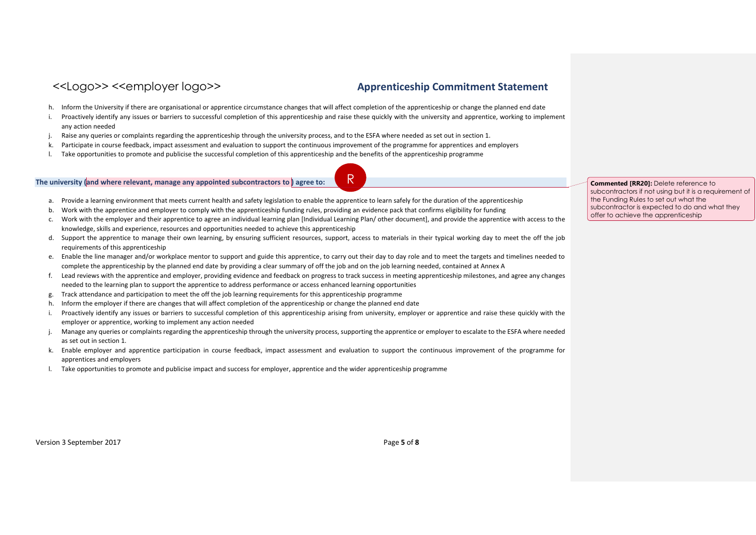- h. Inform the University if there are organisational or apprentice circumstance changes that will affect completion of the apprenticeship or change the planned end date
- i. Proactively identify any issues or barriers to successful completion of this apprenticeship and raise these quickly with the university and apprentice, working to implement any action needed
- j. Raise any queries or complaints regarding the apprenticeship through the university process, and to the ESFA where needed as set out in section 1.
- k. Participate in course feedback, impact assessment and evaluation to support the continuous improvement of the programme for apprentices and employers
- l. Take opportunities to promote and publicise the successful completion of this apprenticeship and the benefits of the apprenticeship programme

### **The university (and where relevant, manage any appointed subcontractors to ) agree to:**

- a. Provide a learning environment that meets current health and safety legislation to enable the apprentice to learn safely for the duration of the apprenticeship
- b. Work with the apprentice and employer to comply with the apprenticeship funding rules, providing an evidence pack that confirms eligibility for funding
- c. Work with the employer and their apprentice to agree an individual learning plan [Individual Learning Plan/ other document], and provide the apprentice with access to the knowledge, skills and experience, resources and opportunities needed to achieve this apprenticeship
- d. Support the apprentice to manage their own learning, by ensuring sufficient resources, support, access to materials in their typical working day to meet the off the job requirements of this apprenticeship
- e. Enable the line manager and/or workplace mentor to support and guide this apprentice, to carry out their day to day role and to meet the targets and timelines needed to complete the apprenticeship by the planned end date by providing a clear summary of off the job and on the job learning needed, contained at Annex A
- f. Lead reviews with the apprentice and employer, providing evidence and feedback on progress to track success in meeting apprenticeship milestones, and agree any changes needed to the learning plan to support the apprentice to address performance or access enhanced learning opportunities
- g. Track attendance and participation to meet the off the job learning requirements for this apprenticeship programme
- h. Inform the employer if there are changes that will affect completion of the apprenticeship or change the planned end date
- i. Proactively identify any issues or barriers to successful completion of this apprenticeship arising from university, employer or apprentice and raise these quickly with the employer or apprentice, working to implement any action needed
- j. Manage any queries or complaints regarding the apprenticeship through the university process, supporting the apprentice or employer to escalate to the ESFA where needed as set out in section 1.
- k. Enable employer and apprentice participation in course feedback, impact assessment and evaluation to support the continuous improvement of the programme for apprentices and employers
- l. Take opportunities to promote and publicise impact and success for employer, apprentice and the wider apprenticeship programme

R **Commented [RR20]:** Delete reference to subcontractors if not using but it is a requirement of the Funding Rules to set out what the subcontractor is expected to do and what they offer to achieve the apprenticeship

Version 3 September 2017 Page **5** of **8**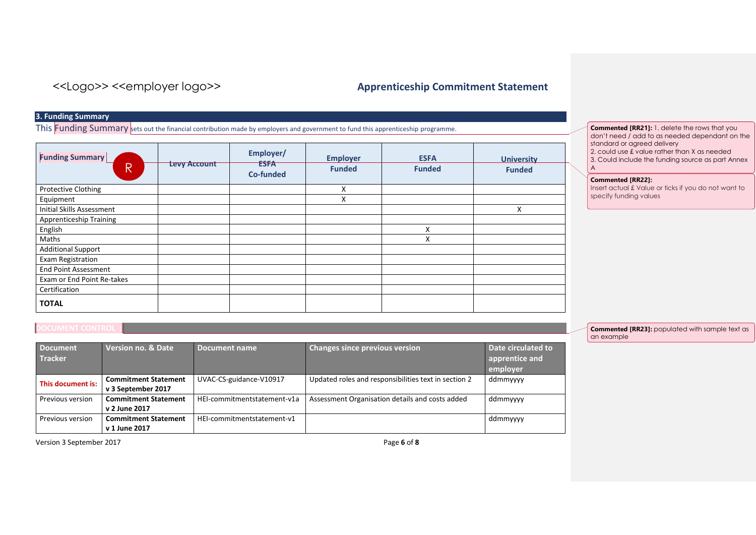### **3. Funding Summary**

This Funding Summary sets out the financial contribution made by employers and government to fund this apprenticeship programme.

| <b>Funding Summary</b><br>$\mathsf R$ | <b>Levy Account</b> | Employer/<br><b>ESFA</b><br><b>Co-funded</b> | <b>Employer</b><br><b>Funded</b> | <b>ESFA</b><br><b>Funded</b> | <b>University</b><br><b>Funded</b> |
|---------------------------------------|---------------------|----------------------------------------------|----------------------------------|------------------------------|------------------------------------|
| <b>Protective Clothing</b>            |                     |                                              | X                                |                              |                                    |
| Equipment                             |                     |                                              | X                                |                              |                                    |
| Initial Skills Assessment             |                     |                                              |                                  |                              | X                                  |
| <b>Apprenticeship Training</b>        |                     |                                              |                                  |                              |                                    |
| English                               |                     |                                              |                                  | X                            |                                    |
| Maths                                 |                     |                                              |                                  | Χ                            |                                    |
| <b>Additional Support</b>             |                     |                                              |                                  |                              |                                    |
| Exam Registration                     |                     |                                              |                                  |                              |                                    |
| <b>End Point Assessment</b>           |                     |                                              |                                  |                              |                                    |
| Exam or End Point Re-takes            |                     |                                              |                                  |                              |                                    |
| Certification                         |                     |                                              |                                  |                              |                                    |
| <b>TOTAL</b>                          |                     |                                              |                                  |                              |                                    |

**Commented [RR21]:** 1. delete the rows that you don't need / add to as needed dependant on the standard or agreed delivery 2. could use £ value rather than X as needed 3. Could include the funding source as part Annex A

### **Commented [RR22]:**

Insert actual £ Value or ticks if you do not want to specify funding values

| <b>Document</b><br><b>Tracker</b> | <b>Version no. &amp; Date</b>                     | Document name               | <b>Changes since previous version</b>                | Date circulated to<br>apprentice and<br>employer |
|-----------------------------------|---------------------------------------------------|-----------------------------|------------------------------------------------------|--------------------------------------------------|
| This document is:                 | <b>Commitment Statement</b><br>v 3 September 2017 | UVAC-CS-guidance-V10917     | Updated roles and responsibilities text in section 2 | ddmmyyyy                                         |
| Previous version                  | <b>Commitment Statement</b><br>v 2 June 2017      | HEI-commitmentstatement-v1a | Assessment Organisation details and costs added      | ddmmyyyy                                         |
| Previous version                  | <b>Commitment Statement</b><br>v 1 June 2017      | HEI-commitmentstatement-v1  |                                                      | ddmmyyyy                                         |

Version 3 September 2017 **Page 6** of **8** 

**Commented [RR23]:** populated with sample text as an example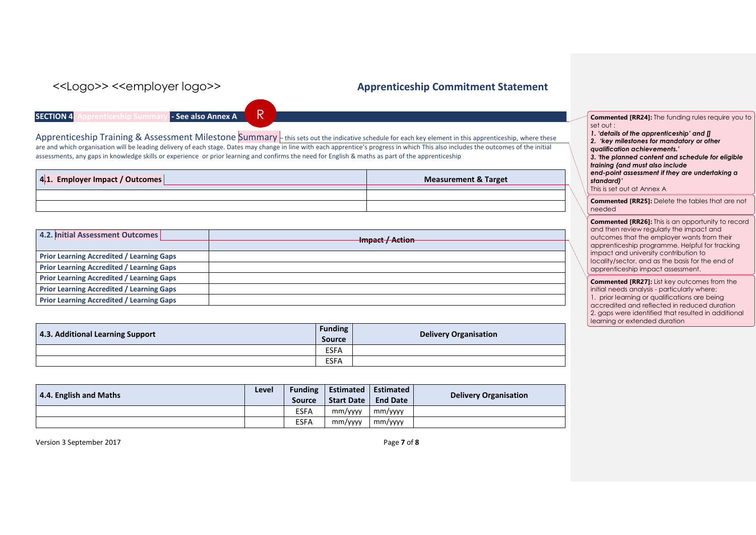**SECTION 4. Apprenticeship Summary - See also Annex A**

R

Apprenticeship Training & Assessment Milestone Summary - this sets out the indicative schedule for each key element in this apprenticeship, where these are and which organisation will be leading delivery of each stage. Dates may change in line with each apprentice's progress in which This also includes the outcomes of the initial assessments, any gaps in knowledge skills or experience or prior learning and confirms the need for English & maths as part of the apprenticeship

| 4.1. Employer Impact / Outcomes | <b>Measurement &amp; Target</b> |
|---------------------------------|---------------------------------|
|                                 |                                 |
|                                 |                                 |

| 4.2. Initial Assessment Outcomes                 | Impact / Action |
|--------------------------------------------------|-----------------|
| <b>Prior Learning Accredited / Learning Gaps</b> |                 |
| <b>Prior Learning Accredited / Learning Gaps</b> |                 |
| <b>Prior Learning Accredited / Learning Gaps</b> |                 |
| <b>Prior Learning Accredited / Learning Gaps</b> |                 |
| <b>Prior Learning Accredited / Learning Gaps</b> |                 |

| 4.3. Additional Learning Support | <b>Funding</b><br>Source | <b>Delivery Organisation</b> |
|----------------------------------|--------------------------|------------------------------|
|                                  | <b>ESFA</b>              |                              |
|                                  | <b>ESFA</b>              |                              |

| 4.4. English and Maths | Level | <b>Funding</b><br><b>Source</b> | Estimated<br>Start Date | Estimated<br><b>End Date</b> | <b>Delivery Organisation</b> |
|------------------------|-------|---------------------------------|-------------------------|------------------------------|------------------------------|
|                        |       | <b>ESFA</b>                     | mm/yyyy                 | mm/yyyy                      |                              |
|                        |       | <b>ESFA</b>                     | mm/yyyy                 | mm/yyyy                      |                              |

Version 3 September 2017 Page **7** of **8**

| <b>Commented [RR24]:</b> The funding rules require you to |
|-----------------------------------------------------------|
| set out :                                                 |

|  | 1. 'details of the apprenticeship' and $\mathbf{p}$ |  |
|--|-----------------------------------------------------|--|
|  | 2. 'key milestones for mandatory or other           |  |

| . . | <b>Refinded</b> in the management |
|-----|-----------------------------------|
|     | qualification achievements.'      |

| 3. 'the planned content and schedule for eligible                               |
|---------------------------------------------------------------------------------|
| the contract of the contract of the contract of the contract of the contract of |

*training (and must also include end-point assessment if they are undertaking a* 

*standard)'*

This is set out at Annex A

**Commented [RR25]:** Delete the tables that are not needed

**Commented [RR26]:** This is an opportunity to record and then review regularly the impact and outcomes that the employer wants from their apprenticeship programme. Helpful for tracking impact and university contribution to locality/sector, and as the basis for the end of apprenticeship impact assessment.

**Commented [RR27]:** List key outcomes from the initial needs analysis - particularly where: 1. prior learning or qualifications are being accredited and reflected in reduced duration 2. gaps were identified that resulted in additional learning or extended duration